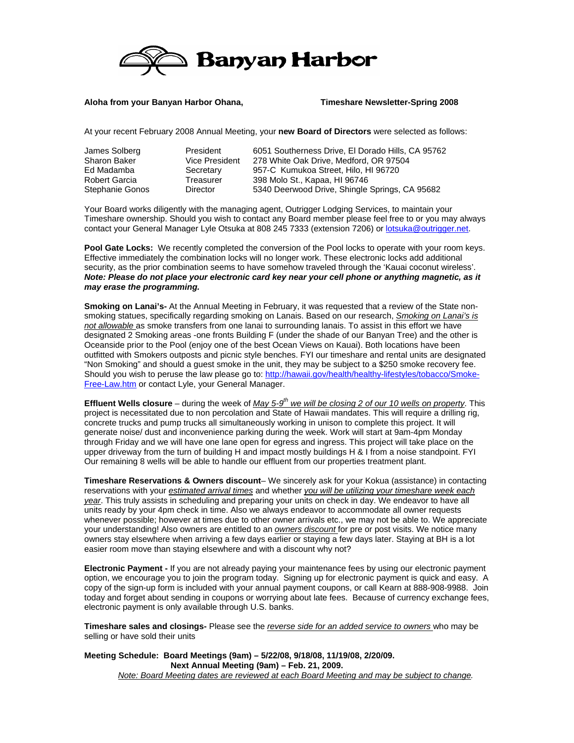

## **Aloha from your Banyan Harbor Ohana, Timeshare Newsletter-Spring 2008**

At your recent February 2008 Annual Meeting, your **new Board of Directors** were selected as follows:

| James Solberg       | President       | 6051 Southerness Drive, El Dorado Hills, CA 95762 |
|---------------------|-----------------|---------------------------------------------------|
| <b>Sharon Baker</b> | Vice President  | 278 White Oak Drive, Medford, OR 97504            |
| Ed Madamba          | Secretary       | 957-C Kumukoa Street, Hilo, HI 96720              |
| Robert Garcia       | Treasurer       | 398 Molo St., Kapaa, HI 96746                     |
| Stephanie Gonos     | <b>Director</b> | 5340 Deerwood Drive, Shingle Springs, CA 95682    |

Your Board works diligently with the managing agent, Outrigger Lodging Services, to maintain your Timeshare ownership. Should you wish to contact any Board member please feel free to or you may always contact your General Manager Lyle Otsuka at 808 245 7333 (extension 7206) or lotsuka@outrigger.net.

**Pool Gate Locks:** We recently completed the conversion of the Pool locks to operate with your room keys. Effective immediately the combination locks will no longer work. These electronic locks add additional security, as the prior combination seems to have somehow traveled through the 'Kauai coconut wireless'. *Note: Please do not place your electronic card key near your cell phone or anything magnetic, as it may erase the programming.* 

**Smoking on Lanai's-** At the Annual Meeting in February, it was requested that a review of the State nonsmoking statues, specifically regarding smoking on Lanais. Based on our research, *Smoking on Lanai's is not allowable* as smoke transfers from one lanai to surrounding lanais. To assist in this effort we have designated 2 Smoking areas -one fronts Building F (under the shade of our Banyan Tree) and the other is Oceanside prior to the Pool (enjoy one of the best Ocean Views on Kauai). Both locations have been outfitted with Smokers outposts and picnic style benches. FYI our timeshare and rental units are designated "Non Smoking" and should a guest smoke in the unit, they may be subject to a \$250 smoke recovery fee. Should you wish to peruse the law please go to: http://hawaii.gov/health/healthy-lifestyles/tobacco/Smoke-Free-Law.htm or contact Lyle, your General Manager.

**Effluent Wells closure** – during the week of *May 5-9<sup>th</sup> we will be closing 2 of our 10 wells on property*. This project is necessitated due to non percolation and State of Hawaii mandates. This will require a drilling rig, concrete trucks and pump trucks all simultaneously working in unison to complete this project. It will generate noise/ dust and inconvenience parking during the week. Work will start at 9am-4pm Monday through Friday and we will have one lane open for egress and ingress. This project will take place on the upper driveway from the turn of building H and impact mostly buildings H & I from a noise standpoint. FYI Our remaining 8 wells will be able to handle our effluent from our properties treatment plant.

**Timeshare Reservations & Owners discount**– We sincerely ask for your Kokua (assistance) in contacting reservations with your *estimated arrival times* and whether *you will be utilizing your timeshare week each year*. This truly assists in scheduling and preparing your units on check in day. We endeavor to have all units ready by your 4pm check in time. Also we always endeavor to accommodate all owner requests whenever possible; however at times due to other owner arrivals etc., we may not be able to. We appreciate your understanding! Also owners are entitled to an *owners discount* for pre or post visits. We notice many owners stay elsewhere when arriving a few days earlier or staying a few days later. Staying at BH is a lot easier room move than staying elsewhere and with a discount why not?

**Electronic Payment -** If you are not already paying your maintenance fees by using our electronic payment option, we encourage you to join the program today. Signing up for electronic payment is quick and easy. A copy of the sign-up form is included with your annual payment coupons, or call Kearn at 888-908-9988. Join today and forget about sending in coupons or worrying about late fees. Because of currency exchange fees, electronic payment is only available through U.S. banks.

**Timeshare sales and closings-** Please see the *reverse side for an added service to owners* who may be selling or have sold their units

**Meeting Schedule: Board Meetings (9am) – 5/22/08, 9/18/08, 11/19/08, 2/20/09. Next Annual Meeting (9am) – Feb. 21, 2009.**  *Note: Board Meeting dates are reviewed at each Board Meeting and may be subject to change.*